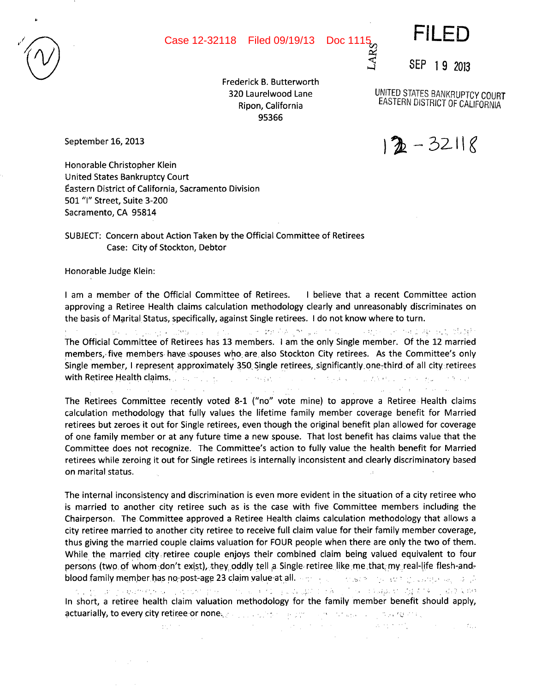

S

/

Doc 1115<br>Age

SEP 19 2013

FILED

320 Laurelwood Lane Ripon, California 95366

September 16, 2013

UNITED STATES BANKRUPTCy COURT EASTERN DISTRICT OF CALIFORNIA

 $22 - 32118$ 

Honorable Christopher Klein United States Bankruptcy Court astern District of California, Sacramento Division 501 "I" Street, Suite 3-200 Sacramento, CA 95814

SUBJECT: Concern about Action Taken by the Official Committee of Retirees Case: City of Stockton, Debtor

Honorable Judge Klein:

 $\sim 10^7$ 

 $\mathcal{F}^{\mathcal{G}}_{\mathcal{G}}$  ,  $\mathcal{F}^{\mathcal{G}}_{\mathcal{G}}$  , and  $\mathcal{F}^{\mathcal{G}}_{\mathcal{G}}$ 

Service Control

I am a member of the Official Committee of Retirees. I believe that a recent Committee action approving a Retiree Health claims calculation methodology clearly and unreasonably discriminates on the basis of Marital Status, specifically, against Single retirees. I do not know where to turn.

电压力 医乳头病 化磷酸氢亚汞 医抗原 化亚甲酸酯 医蝶呤 医甲状腺 计可编 人名英格兰人姓氏梅克 经国际服务 and the con-The Official Committee of Retirees has 13 members. I am the only Single member. Of the 12 married members, five members have spouses who are also Stockton City retirees. As the Committee's only Single member, I represent approximately 350 Single retirees, significantly.one-third of all cityretirees with Retiree Health claims. The manner of the research of the continue of the second resource of the continuous

 $\langle\sigma\vert\sigma\rangle\sim\sigma$  .

 $\frac{1}{2}$  , and  $\frac{1}{2}$  , and  $\frac{1}{2}$  , and  $\frac{1}{2}$  , and  $\frac{1}{2}$  , and  $\frac{1}{2}$  , and  $\frac{1}{2}$ The Retirees Committee recently voted 8-1 ("no" vote mine) to approve a Retiree Health claims calculation methodology that fully values the lifetime family member coverage benefit for Married retirees but zeroes it out for Single retirees, even though the original benefit plan allowed for coverage of one family member or at any future time a new spouse. That lost benefit has claims value that the Committee does not recognize. The Committee's action to fully value the health benefit for Married retirees while zeroing it out for Single retirees is internally inconsistent and clearly discriminatory based on marital status.

The internal inconsistency and discrimination is even more evident in the situation of a city retiree who is married to another city retiree such as is the case with five Committee members including the Chairperson. The Committee approved a Retiree Health claims calculation methodology that allows a city retiree married to another city retiree to receive full claim value for their family member coverage, thus giving the married couple claims valuation for FOUR people when there are only the two of them. While the married city retiree couple enjoys their combined claim being valued equivalent to four persons (two of whom-don't exist), they oddly tell a Single retiree like me that my real-life flesh-andblood family member has no post-age 23 claim value at all. The contraction of the contraction of the contraction 。<br>1990年,1990年,1990年10月,1990年10月,1990年,1990年,1990年,1990年,1990年,1990年,1990年,1990年,199 In short, a retiree health claim valuation methodology for the family member benefit should apply, actuarially, to every city retiree-or none. For a subset of summary the second providence.

 $\Omega_{\rm R}^{(1)}$  and  $\Omega_{\rm R}^{(1)}$ 医大脑病 医神经性 医牙间的 医单位前缀 医白细胞 化硫酸  $\sim$